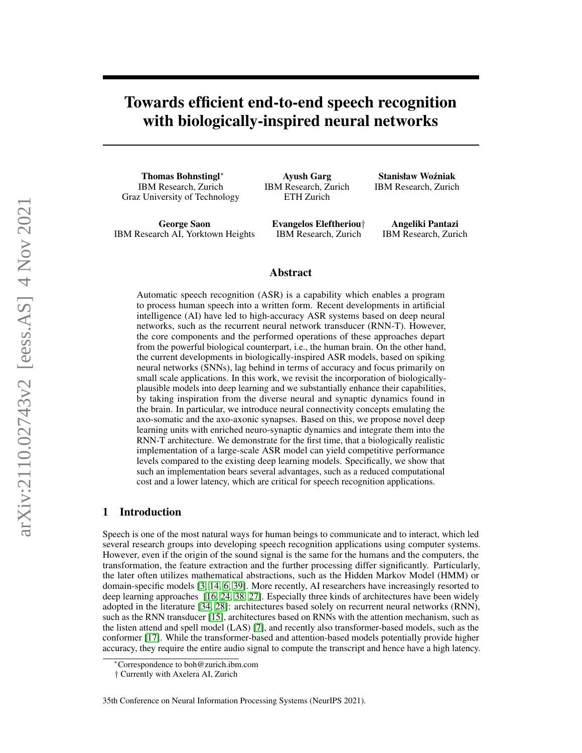# Towards efficient end-to-end speech recognition with biologically-inspired neural networks

Thomas Bohnstingl<sup>∗</sup> IBM Research, Zurich Graz University of Technology

George Saon IBM Research AI, Yorktown Heights

Ayush Garg IBM Research, Zurich ETH Zurich

Evangelos Eleftheriou† IBM Research, Zurich

Stanisław Woźniak IBM Research, Zurich

Angeliki Pantazi IBM Research, Zurich

### Abstract

Automatic speech recognition (ASR) is a capability which enables a program to process human speech into a written form. Recent developments in artificial intelligence (AI) have led to high-accuracy ASR systems based on deep neural networks, such as the recurrent neural network transducer (RNN-T). However, the core components and the performed operations of these approaches depart from the powerful biological counterpart, i.e., the human brain. On the other hand, the current developments in biologically-inspired ASR models, based on spiking neural networks (SNNs), lag behind in terms of accuracy and focus primarily on small scale applications. In this work, we revisit the incorporation of biologicallyplausible models into deep learning and we substantially enhance their capabilities, by taking inspiration from the diverse neural and synaptic dynamics found in the brain. In particular, we introduce neural connectivity concepts emulating the axo-somatic and the axo-axonic synapses. Based on this, we propose novel deep learning units with enriched neuro-synaptic dynamics and integrate them into the RNN-T architecture. We demonstrate for the first time, that a biologically realistic implementation of a large-scale ASR model can yield competitive performance levels compared to the existing deep learning models. Specifically, we show that such an implementation bears several advantages, such as a reduced computational cost and a lower latency, which are critical for speech recognition applications.

### 1 Introduction

Speech is one of the most natural ways for human beings to communicate and to interact, which led several research groups into developing speech recognition applications using computer systems. However, even if the origin of the sound signal is the same for the humans and the computers, the transformation, the feature extraction and the further processing differ significantly. Particularly, the later often utilizes mathematical abstractions, such as the Hidden Markov Model (HMM) or domain-specific models [\[3,](#page-9-0) [14,](#page-9-1) [6,](#page-9-2) [39\]](#page-11-0). More recently, AI researchers have increasingly resorted to deep learning approaches [\[16,](#page-9-3) [24,](#page-10-0) [38,](#page-11-1) [27\]](#page-10-1). Especially three kinds of architectures have been widely adopted in the literature [\[34,](#page-11-2) [28\]](#page-10-2): architectures based solely on recurrent neural networks (RNN), such as the RNN transducer [\[15\]](#page-9-4), architectures based on RNNs with the attention mechanism, such as the listen attend and spell model (LAS) [\[7\]](#page-9-5), and recently also transformer-based models, such as the conformer [\[17\]](#page-9-6). While the transformer-based and attention-based models potentially provide higher accuracy, they require the entire audio signal to compute the transcript and hence have a high latency.

<sup>∗</sup>Correspondence to boh@zurich.ibm.com

<sup>†</sup> Currently with Axelera AI, Zurich

<sup>35</sup>th Conference on Neural Information Processing Systems (NeurIPS 2021).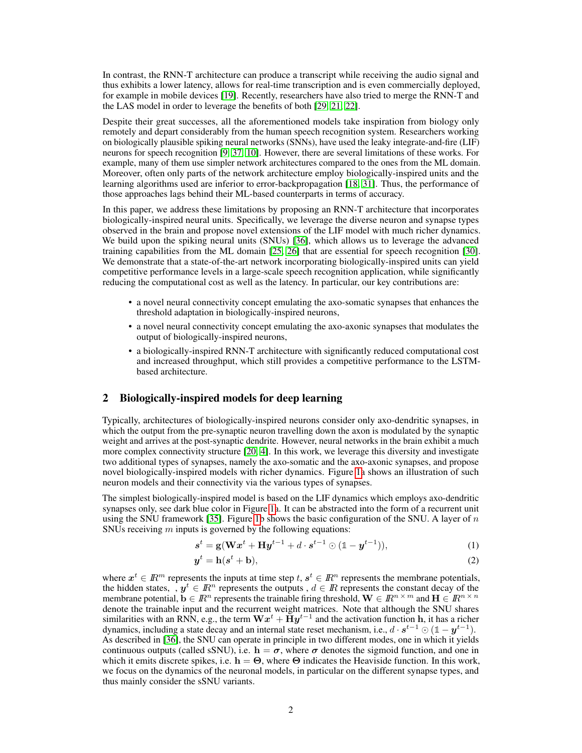In contrast, the RNN-T architecture can produce a transcript while receiving the audio signal and thus exhibits a lower latency, allows for real-time transcription and is even commercially deployed, for example in mobile devices [\[19\]](#page-10-3). Recently, researchers have also tried to merge the RNN-T and the LAS model in order to leverage the benefits of both [\[29,](#page-10-4) [21,](#page-10-5) [22\]](#page-10-6).

Despite their great successes, all the aforementioned models take inspiration from biology only remotely and depart considerably from the human speech recognition system. Researchers working on biologically plausible spiking neural networks (SNNs), have used the leaky integrate-and-fire (LIF) neurons for speech recognition [\[9,](#page-9-7) [37,](#page-11-3) [10\]](#page-9-8). However, there are several limitations of these works. For example, many of them use simpler network architectures compared to the ones from the ML domain. Moreover, often only parts of the network architecture employ biologically-inspired units and the learning algorithms used are inferior to error-backpropagation [\[18,](#page-9-9) [31\]](#page-10-7). Thus, the performance of those approaches lags behind their ML-based counterparts in terms of accuracy.

In this paper, we address these limitations by proposing an RNN-T architecture that incorporates biologically-inspired neural units. Specifically, we leverage the diverse neuron and synapse types observed in the brain and propose novel extensions of the LIF model with much richer dynamics. We build upon the spiking neural units (SNUs) [\[36\]](#page-11-4), which allows us to leverage the advanced training capabilities from the ML domain [\[25,](#page-10-8) [26\]](#page-10-9) that are essential for speech recognition [\[30\]](#page-10-10). We demonstrate that a state-of-the-art network incorporating biologically-inspired units can yield competitive performance levels in a large-scale speech recognition application, while significantly reducing the computational cost as well as the latency. In particular, our key contributions are:

- a novel neural connectivity concept emulating the axo-somatic synapses that enhances the threshold adaptation in biologically-inspired neurons,
- a novel neural connectivity concept emulating the axo-axonic synapses that modulates the output of biologically-inspired neurons,
- a biologically-inspired RNN-T architecture with significantly reduced computational cost and increased throughput, which still provides a competitive performance to the LSTMbased architecture.

### <span id="page-1-0"></span>2 Biologically-inspired models for deep learning

Typically, architectures of biologically-inspired neurons consider only axo-dendritic synapses, in which the output from the pre-synaptic neuron travelling down the axon is modulated by the synaptic weight and arrives at the post-synaptic dendrite. However, neural networks in the brain exhibit a much more complex connectivity structure [\[20,](#page-10-11) [4\]](#page-9-10). In this work, we leverage this diversity and investigate two additional types of synapses, namely the axo-somatic and the axo-axonic synapses, and propose novel biologically-inspired models with richer dynamics. Figure [1a](#page-2-0) shows an illustration of such neuron models and their connectivity via the various types of synapses.

The simplest biologically-inspired model is based on the LIF dynamics which employs axo-dendritic synapses only, see dark blue color in Figure [1a](#page-2-0). It can be abstracted into the form of a recurrent unit using the SNU framework [\[35\]](#page-11-5). Figure [1b](#page-2-0) shows the basic configuration of the SNU. A layer of  $n$ SNUs receiving  $m$  inputs is governed by the following equations:

$$
s^{t} = g(\mathbf{W}x^{t} + \mathbf{H}y^{t-1} + d \cdot s^{t-1} \odot (\mathbb{1} - y^{t-1})),
$$
\n(1)

$$
y^t = \mathbf{h}(s^t + \mathbf{b}),\tag{2}
$$

where  $x^t \in \mathbb{R}^m$  represents the inputs at time step  $t, s^t \in \mathbb{R}^n$  represents the membrane potentials, the hidden states, ,  $y^t \in \mathbb{R}^n$  represents the outputs,  $d \in \mathbb{R}$  represents the constant decay of the membrane potential,  $\mathbf{b} \in \mathbb{R}^n$  represents the trainable firing threshold,  $\mathbf{W} \in \mathbb{R}^{n \times m}$  and  $\mathbf{H} \in \mathbb{R}^{n \times n}$ denote the trainable input and the recurrent weight matrices. Note that although the SNU shares similarities with an RNN, e.g., the term  $\mathbf{W}x^{t}+\bar{\mathbf{H}}y^{t-1}$  and the activation function  $\mathbf{h}$ , it has a richer dynamics, including a state decay and an internal state reset mechanism, i.e.,  $d \cdot s^{t-1} \odot (1 - y^{t-1})$ . As described in [\[36\]](#page-11-4), the SNU can operate in principle in two different modes, one in which it yields continuous outputs (called sSNU), i.e.  $h = \sigma$ , where  $\sigma$  denotes the sigmoid function, and one in which it emits discrete spikes, i.e.  $h = \Theta$ , where  $\Theta$  indicates the Heaviside function. In this work, we focus on the dynamics of the neuronal models, in particular on the different synapse types, and thus mainly consider the sSNU variants.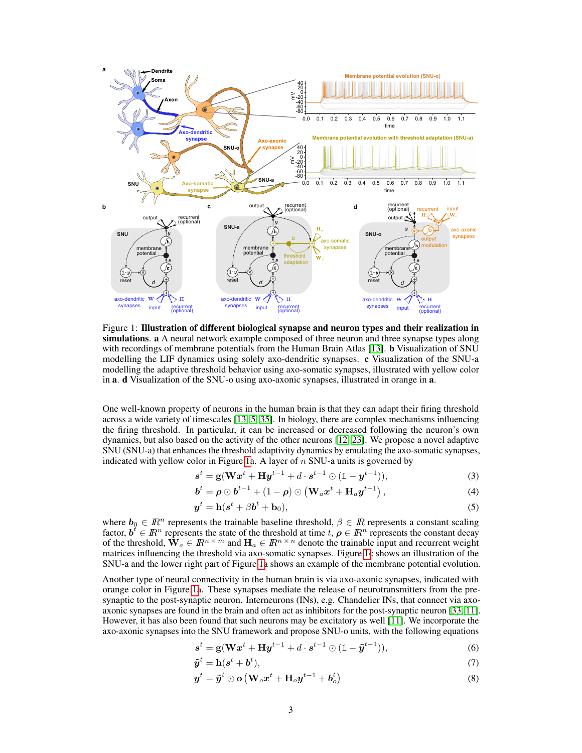

<span id="page-2-0"></span>Figure 1: Illustration of different biological synapse and neuron types and their realization in simulations. a A neural network example composed of three neuron and three synapse types along with recordings of membrane potentials from the Human Brain Atlas [\[13\]](#page-9-11). **b** Visualization of SNU modelling the LIF dynamics using solely axo-dendritic synapses. c Visualization of the SNU-a modelling the adaptive threshold behavior using axo-somatic synapses, illustrated with yellow color in a. d Visualization of the SNU-o using axo-axonic synapses, illustrated in orange in a.

One well-known property of neurons in the human brain is that they can adapt their firing threshold across a wide variety of timescales [\[13,](#page-9-11) [5,](#page-9-12) [35\]](#page-11-5). In biology, there are complex mechanisms influencing the firing threshold. In particular, it can be increased or decreased following the neuron's own dynamics, but also based on the activity of the other neurons [\[12,](#page-9-13) [23\]](#page-10-12). We propose a novel adaptive SNU (SNU-a) that enhances the threshold adaptivity dynamics by emulating the axo-somatic synapses, indicated with yellow color in Figure [1a](#page-2-0). A layer of  $n$  SNU-a units is governed by

$$
s^{t} = g(Wx^{t} + Hy^{t-1} + d \cdot s^{t-1} \odot (1 - y^{t-1})),
$$
\n(3)

$$
\boldsymbol{b}^{t} = \boldsymbol{\rho} \odot \boldsymbol{b}^{t-1} + (1 - \boldsymbol{\rho}) \odot (\mathbf{W}_{a} \boldsymbol{x}^{t} + \mathbf{H}_{a} \boldsymbol{y}^{t-1}), \qquad (4)
$$

$$
\mathbf{y}^t = \mathbf{h}(\mathbf{s}^t + \beta \mathbf{b}^t + \mathbf{b}_0),\tag{5}
$$

where  $b_0 \in \mathbb{R}^n$  represents the trainable baseline threshold,  $\beta \in \mathbb{R}$  represents a constant scaling factor,  $\mathbf{b}^t \in \mathbb{R}^n$  represents the state of the threshold at time  $t, \rho \in \mathbb{R}^n$  represents the constant decay of the threshold,  $\mathbf{W}_a \in \mathbb{R}^{n \times m}$  and  $\mathbf{H}_a \in \mathbb{R}^{n \times n}$  denote the trainable input and recurrent weight matrices influencing the threshold via axo-somatic synapses. Figure [1c](#page-2-0) shows an illustration of the SNU-a and the lower right part of Figure [1a](#page-2-0) shows an example of the membrane potential evolution.

Another type of neural connectivity in the human brain is via axo-axonic synapses, indicated with orange color in Figure [1a](#page-2-0). These synapses mediate the release of neurotransmitters from the presynaptic to the post-synaptic neuron. Interneurons (INs), e.g. Chandelier INs, that connect via axoaxonic synapses are found in the brain and often act as inhibitors for the post-synaptic neuron [\[33,](#page-10-13) [11\]](#page-9-14). However, it has also been found that such neurons may be excitatory as well [\[11\]](#page-9-14). We incorporate the axo-axonic synapses into the SNU framework and propose SNU-o units, with the following equations

$$
\mathbf{s}^{t} = \mathbf{g}(\mathbf{W}\mathbf{x}^{t} + \mathbf{H}\mathbf{y}^{t-1} + d \cdot \mathbf{s}^{t-1} \odot (\mathbb{1} - \tilde{\mathbf{y}}^{t-1})),
$$
\n(6)

$$
\tilde{\boldsymbol{y}}^t = \mathbf{h}(\boldsymbol{s}^t + \boldsymbol{b}^t),\tag{7}
$$

<span id="page-2-1"></span>
$$
\boldsymbol{y}^{t} = \tilde{\boldsymbol{y}}^{t} \odot \mathbf{o} \left( \mathbf{W}_{o} \boldsymbol{x}^{t} + \mathbf{H}_{o} \boldsymbol{y}^{t-1} + \boldsymbol{b}_{o}^{t} \right)
$$
\n
$$
\tag{8}
$$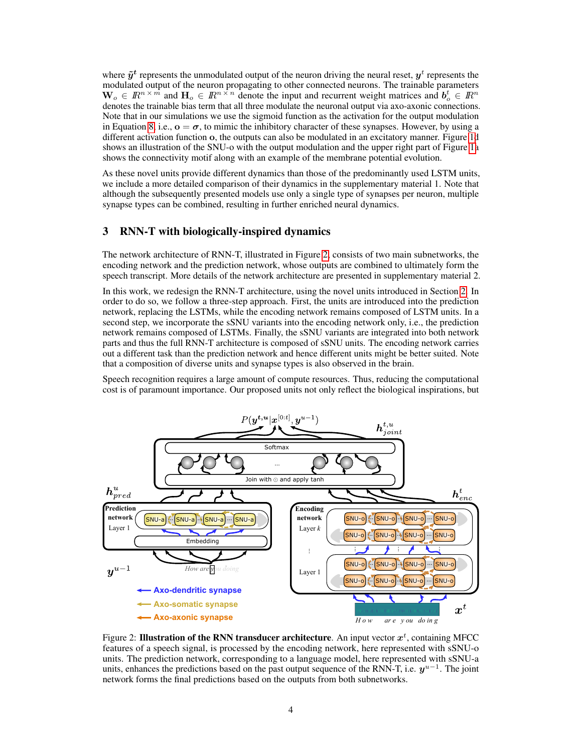where  $\tilde{y}^t$  represents the unmodulated output of the neuron driving the neural reset,  $y^t$  represents the modulated output of the neuron propagating to other connected neurons. The trainable parameters  $\mathbf{W}_o \in \mathbb{R}^{n \times m}$  and  $\mathbf{H}_o \in \mathbb{R}^{n \times n}$  denote the input and recurrent weight matrices and  $\mathbf{b}_o^t \in \mathbb{R}^n$ denotes the trainable bias term that all three modulate the neuronal output via axo-axonic connections. Note that in our simulations we use the sigmoid function as the activation for the output modulation in Equation [8,](#page-2-1) i.e.,  $\mathbf{o} = \boldsymbol{\sigma}$ , to mimic the inhibitory character of these synapses. However, by using a different activation function o, the outputs can also be modulated in an excitatory manner. Figure [1d](#page-2-0) shows an illustration of the SNU-o with the output modulation and the upper right part of Figure [1a](#page-2-0) shows the connectivity motif along with an example of the membrane potential evolution.

As these novel units provide different dynamics than those of the predominantly used LSTM units, we include a more detailed comparison of their dynamics in the supplementary material 1. Note that although the subsequently presented models use only a single type of synapses per neuron, multiple synapse types can be combined, resulting in further enriched neural dynamics.

### 3 RNN-T with biologically-inspired dynamics

The network architecture of RNN-T, illustrated in Figure [2,](#page-3-0) consists of two main subnetworks, the encoding network and the prediction network, whose outputs are combined to ultimately form the speech transcript. More details of the network architecture are presented in supplementary material 2.

In this work, we redesign the RNN-T architecture, using the novel units introduced in Section [2.](#page-1-0) In order to do so, we follow a three-step approach. First, the units are introduced into the prediction network, replacing the LSTMs, while the encoding network remains composed of LSTM units. In a second step, we incorporate the sSNU variants into the encoding network only, i.e., the prediction network remains composed of LSTMs. Finally, the sSNU variants are integrated into both network parts and thus the full RNN-T architecture is composed of sSNU units. The encoding network carries out a different task than the prediction network and hence different units might be better suited. Note that a composition of diverse units and synapse types is also observed in the brain.

Speech recognition requires a large amount of compute resources. Thus, reducing the computational cost is of paramount importance. Our proposed units not only reflect the biological inspirations, but



<span id="page-3-0"></span>Figure 2: Illustration of the RNN transducer architecture. An input vector  $x^t$ , containing MFCC features of a speech signal, is processed by the encoding network, here represented with sSNU-o units. The prediction network, corresponding to a language model, here represented with sSNU-a units, enhances the predictions based on the past output sequence of the RNN-T, i.e.  $y^{u-1}$ . The joint network forms the final predictions based on the outputs from both subnetworks.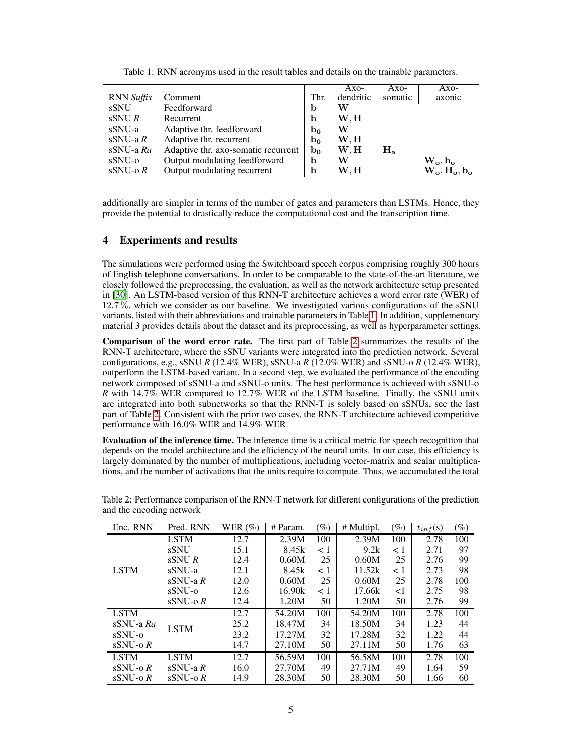|                          |                                     |                | Axo-      | Axo-    | Axo-            |
|--------------------------|-------------------------------------|----------------|-----------|---------|-----------------|
| <b>RNN</b> Suffix        | Comment                             | Thr.           | dendritic | somatic | axonic          |
| sSNU                     | Feedforward                         | b              | W         |         |                 |
| $\text{sSNU } R$         | Recurrent                           | b              | W.H       |         |                 |
| sSNU-a                   | Adaptive thr. feedforward           | $b_0$          | W         |         |                 |
| sSNU-a $R$               | Adaptive thr. recurrent             | $b_0$          | W.H       |         |                 |
| sSNU-a Ra                | Adaptive thr. axo-somatic recurrent | $\mathbf{b}_0$ | W.H       | $H_a$   |                 |
| sSNU-o                   | Output modulating feedforward       | b              | W         |         | $W_o, b_o$      |
| $\text{sSNU-}\text{o} R$ | Output modulating recurrent         | b              | W.H       |         | $W_o, H_o, b_o$ |

<span id="page-4-0"></span>Table 1: RNN acronyms used in the result tables and details on the trainable parameters.

additionally are simpler in terms of the number of gates and parameters than LSTMs. Hence, they provide the potential to drastically reduce the computational cost and the transcription time.

### 4 Experiments and results

The simulations were performed using the Switchboard speech corpus comprising roughly 300 hours of English telephone conversations. In order to be comparable to the state-of-the-art literature, we closely followed the preprocessing, the evaluation, as well as the network architecture setup presented in [\[30\]](#page-10-10). An LSTM-based version of this RNN-T architecture achieves a word error rate (WER) of 12.7 %, which we consider as our baseline. We investigated various configurations of the sSNU variants, listed with their abbreviations and trainable parameters in Table [1.](#page-4-0) In addition, supplementary material 3 provides details about the dataset and its preprocessing, as well as hyperparameter settings.

Comparison of the word error rate. The first part of Table [2](#page-4-1) summarizes the results of the RNN-T architecture, where the sSNU variants were integrated into the prediction network. Several configurations, e.g., sSNU *R* (12.4% WER), sSNU-a *R* (12.0% WER) and sSNU-o *R* (12.4% WER), outperform the LSTM-based variant. In a second step, we evaluated the performance of the encoding network composed of sSNU-a and sSNU-o units. The best performance is achieved with sSNU-o *R* with 14.7% WER compared to 12.7% WER of the LSTM baseline. Finally, the sSNU units are integrated into both subnetworks so that the RNN-T is solely based on sSNUs, see the last part of Table [2.](#page-4-1) Consistent with the prior two cases, the RNN-T architecture achieved competitive performance with 16.0% WER and 14.9% WER.

Evaluation of the inference time. The inference time is a critical metric for speech recognition that depends on the model architecture and the efficiency of the neural units. In our case, this efficiency is largely dominated by the number of multiplications, including vector-matrix and scalar multiplications, and the number of activations that the units require to compute. Thus, we accumulated the total

| Enc. RNN                 | Pred. RNN   | WER $(\%)$ | # Param. | $(\%)$   | $\overline{\text{H}}$ Multipl. | $\left( \% \right)$ | $t_{inf}(s)$ | $\overline{(\%)}$ |
|--------------------------|-------------|------------|----------|----------|--------------------------------|---------------------|--------------|-------------------|
|                          | <b>LSTM</b> | 12.7       | 2.39M    | 100      | 2.39M                          | 100                 | 2.78         | 100               |
|                          | <b>sSNU</b> | 15.1       | 8.45k    | $\leq 1$ | 9.2k                           | < 1                 | 2.71         | 97                |
|                          | sSNUR       | 12.4       | 0.60M    | 25       | 0.60M                          | 25                  | 2.76         | 99                |
| <b>LSTM</b>              | sSNU-a      | 12.1       | 8.45k    | $\leq 1$ | 11.52k                         | < 1                 | 2.73         | 98                |
|                          | sSNU-a $R$  | 12.0       | 0.60M    | 25       | 0.60M                          | 25                  | 2.78         | 100               |
|                          | sSNU-o      | 12.6       | 16.90k   | $\leq 1$ | 17.66k                         | $<$ 1               | 2.75         | 98                |
|                          | $sSNU-o R$  | 12.4       | 1.20M    | 50       | 1.20M                          | 50                  | 2.76         | 99                |
| <b>LSTM</b>              |             | 12.7       | 54.20M   | 100      | 54.20M                         | 100                 | 2.78         | 100               |
| sSNU-a Ra                | <b>LSTM</b> | 25.2       | 18.47M   | 34       | 18.50M                         | 34                  | 1.23         | 44                |
| sSNU-o                   |             | 23.2       | 17.27M   | 32       | 17.28M                         | 32                  | 1.22         | 44                |
| $sSNU-o R$               |             | 14.7       | 27.10M   | 50       | 27.11M                         | 50                  | 1.76         | 63                |
| <b>LSTM</b>              | <b>LSTM</b> | 12.7       | 56.59M   | 100      | 56.58M                         | 100                 | 2.78         | 100               |
| $\text{sSNU-}\,\alpha R$ | $sSNU-a R$  | 16.0       | 27.70M   | 49       | 27.71M                         | 49                  | 1.64         | 59                |
| $sSNU-o R$               | $sSNU-o R$  | 14.9       | 28.30M   | 50       | 28.30M                         | 50                  | 1.66         | 60                |

<span id="page-4-1"></span>Table 2: Performance comparison of the RNN-T network for different configurations of the prediction and the encoding network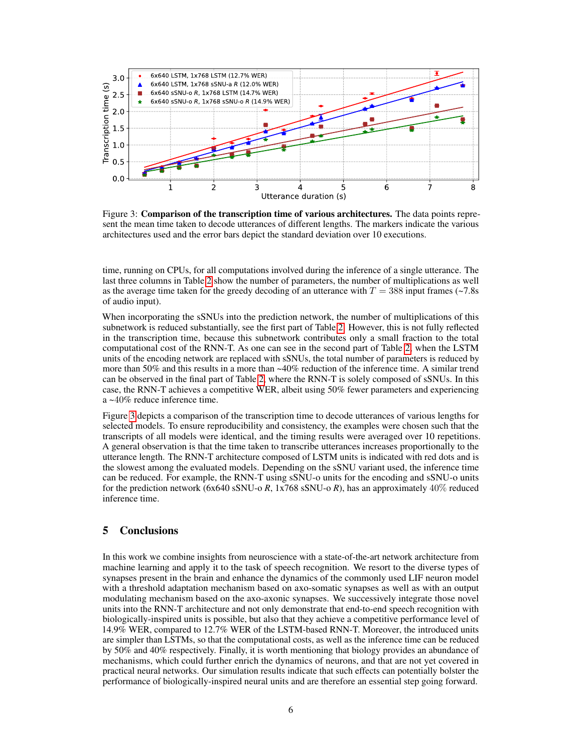

<span id="page-5-0"></span>Figure 3: **Comparison of the transcription time of various architectures.** The data points represent the mean time taken to decode utterances of different lengths. The markers indicate the various architectures used and the error bars depict the standard deviation over 10 executions.

time, running on CPUs, for all computations involved during the inference of a single utterance. The last three columns in Table [2](#page-4-1) show the number of parameters, the number of multiplications as well as the average time taken for the greedy decoding of an utterance with  $T = 388$  input frames (~7.8s) of audio input).

When incorporating the sSNUs into the prediction network, the number of multiplications of this subnetwork is reduced substantially, see the first part of Table [2.](#page-4-1) However, this is not fully reflected in the transcription time, because this subnetwork contributes only a small fraction to the total computational cost of the RNN-T. As one can see in the second part of Table [2,](#page-4-1) when the LSTM units of the encoding network are replaced with sSNUs, the total number of parameters is reduced by more than 50% and this results in a more than ~40% reduction of the inference time. A similar trend can be observed in the final part of Table [2,](#page-4-1) where the RNN-T is solely composed of sSNUs. In this case, the RNN-T achieves a competitive WER, albeit using 50% fewer parameters and experiencing a ~40% reduce inference time.

Figure [3](#page-5-0) depicts a comparison of the transcription time to decode utterances of various lengths for selected models. To ensure reproducibility and consistency, the examples were chosen such that the transcripts of all models were identical, and the timing results were averaged over 10 repetitions. A general observation is that the time taken to transcribe utterances increases proportionally to the utterance length. The RNN-T architecture composed of LSTM units is indicated with red dots and is the slowest among the evaluated models. Depending on the sSNU variant used, the inference time can be reduced. For example, the RNN-T using sSNU-o units for the encoding and sSNU-o units for the prediction network (6x640 sSNU-o *R*, 1x768 sSNU-o *R*), has an approximately 40% reduced inference time.

### 5 Conclusions

In this work we combine insights from neuroscience with a state-of-the-art network architecture from machine learning and apply it to the task of speech recognition. We resort to the diverse types of synapses present in the brain and enhance the dynamics of the commonly used LIF neuron model with a threshold adaptation mechanism based on axo-somatic synapses as well as with an output modulating mechanism based on the axo-axonic synapses. We successively integrate those novel units into the RNN-T architecture and not only demonstrate that end-to-end speech recognition with biologically-inspired units is possible, but also that they achieve a competitive performance level of 14.9% WER, compared to 12.7% WER of the LSTM-based RNN-T. Moreover, the introduced units are simpler than LSTMs, so that the computational costs, as well as the inference time can be reduced by 50% and 40% respectively. Finally, it is worth mentioning that biology provides an abundance of mechanisms, which could further enrich the dynamics of neurons, and that are not yet covered in practical neural networks. Our simulation results indicate that such effects can potentially bolster the performance of biologically-inspired neural units and are therefore an essential step going forward.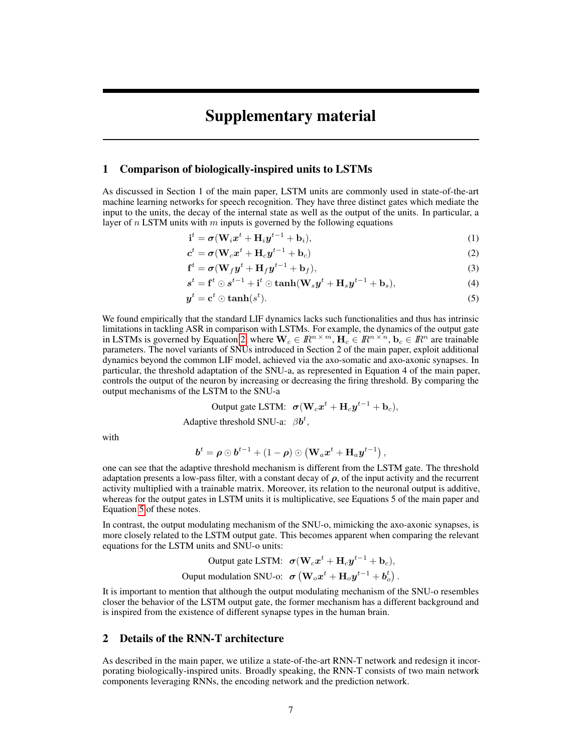# Supplementary material

### 1 Comparison of biologically-inspired units to LSTMs

As discussed in Section 1 of the main paper, LSTM units are commonly used in state-of-the-art machine learning networks for speech recognition. They have three distinct gates which mediate the input to the units, the decay of the internal state as well as the output of the units. In particular, a layer of  $n$  LSTM units with  $m$  inputs is governed by the following equations

<span id="page-6-0"></span>
$$
\mathbf{i}^t = \boldsymbol{\sigma}(\mathbf{W}_i \boldsymbol{x}^t + \mathbf{H}_i \boldsymbol{y}^{t-1} + \mathbf{b}_i),\tag{1}
$$

$$
\boldsymbol{c}^t = \boldsymbol{\sigma} (\mathbf{W}_c \boldsymbol{x}^t + \mathbf{H}_c \boldsymbol{y}^{t-1} + \mathbf{b}_c) \tag{2}
$$

$$
\mathbf{f}^t = \boldsymbol{\sigma}(\mathbf{W}_f \boldsymbol{y}^t + \mathbf{H}_f \boldsymbol{y}^{t-1} + \mathbf{b}_f),
$$
\n(3)

$$
st = ft \odot st-1 + it \odot \tanh(Wsyt + Hsyt-1 + bs),
$$
\n(4)

<span id="page-6-1"></span>
$$
y^t = \mathbf{c}^t \odot \tanh(s^t). \tag{5}
$$

We found empirically that the standard LIF dynamics lacks such functionalities and thus has intrinsic limitations in tackling ASR in comparison with LSTMs. For example, the dynamics of the output gate in LSTMs is governed by Equation [2,](#page-6-0) where  $\mathbf{W}_c \in \mathbb{R}^{n \times m}$ ,  $\mathbf{H}_c \in \mathbb{R}^{n \times n}$ ,  $\mathbf{b}_c \in \mathbb{R}^n$  are trainable parameters. The novel variants of SNUs introduced in Section 2 of the main paper, exploit additional dynamics beyond the common LIF model, achieved via the axo-somatic and axo-axonic synapses. In particular, the threshold adaptation of the SNU-a, as represented in Equation 4 of the main paper, controls the output of the neuron by increasing or decreasing the firing threshold. By comparing the output mechanisms of the LSTM to the SNU-a

Output gate LSTM: 
$$
\boldsymbol{\sigma}(\mathbf{W}_c \boldsymbol{x}^t + \mathbf{H}_c \boldsymbol{y}^{t-1} + \mathbf{b}_c),
$$

Adaptive threshold SNU-a:  $\beta b^t$ ,

with

$$
\boldsymbol{b}^{t}=\boldsymbol{\rho}\odot\boldsymbol{b}^{t-1}+\left(1-\boldsymbol{\rho}\right)\odot\left(\mathbf{W}_{a}\boldsymbol{x}^{t}+\mathbf{H}_{a}\boldsymbol{y}^{t-1}\right),
$$

one can see that the adaptive threshold mechanism is different from the LSTM gate. The threshold adaptation presents a low-pass filter, with a constant decay of  $\rho$ , of the input activity and the recurrent activity multiplied with a trainable matrix. Moreover, its relation to the neuronal output is additive, whereas for the output gates in LSTM units it is multiplicative, see Equations 5 of the main paper and Equation [5](#page-6-1) of these notes.

In contrast, the output modulating mechanism of the SNU-o, mimicking the axo-axonic synapses, is more closely related to the LSTM output gate. This becomes apparent when comparing the relevant equations for the LSTM units and SNU-o units:

Output gate LSTM: 
$$
\sigma(\mathbf{W}_c \mathbf{x}^t + \mathbf{H}_c \mathbf{y}^{t-1} + \mathbf{b}_c)
$$
,  
Output modulation SNU-o:  $\sigma(\mathbf{W}_o \mathbf{x}^t + \mathbf{H}_o \mathbf{y}^{t-1} + \mathbf{b}_o^t)$ .

It is important to mention that although the output modulating mechanism of the SNU-o resembles closer the behavior of the LSTM output gate, the former mechanism has a different background and is inspired from the existence of different synapse types in the human brain.

### 2 Details of the RNN-T architecture

As described in the main paper, we utilize a state-of-the-art RNN-T network and redesign it incorporating biologically-inspired units. Broadly speaking, the RNN-T consists of two main network components leveraging RNNs, the encoding network and the prediction network.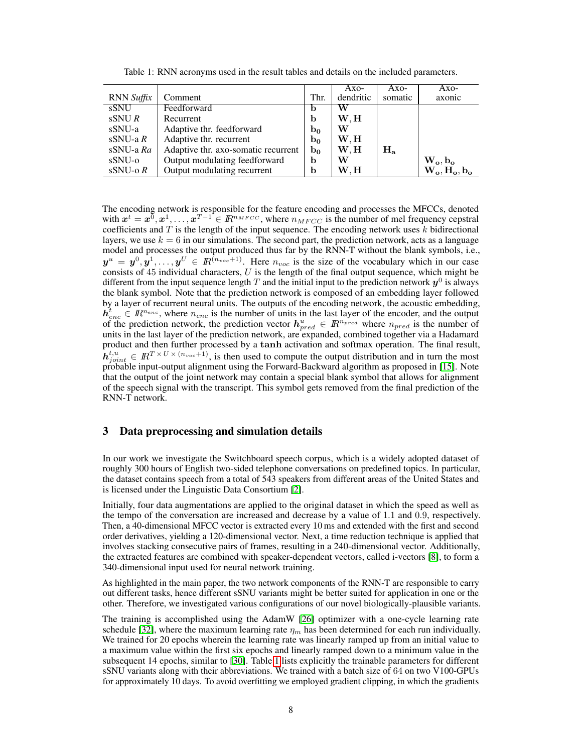|                   |                                     |                | Axo-      | Axo-    | Axo-                         |
|-------------------|-------------------------------------|----------------|-----------|---------|------------------------------|
| <b>RNN</b> Suffix | Comment                             | Thr.           | dendritic | somatic | axonic                       |
| sSNU              | Feedforward                         | b              | W         |         |                              |
| $\text{sSNU } R$  | Recurrent                           | b              | W.H       |         |                              |
| sSNU-a            | Adaptive thr. feedforward           | $b_0$          | W         |         |                              |
| sSNU-a $R$        | Adaptive thr. recurrent             | $\mathbf{b}_0$ | W.H       |         |                              |
| $sSNU-a Ra$       | Adaptive thr. axo-somatic recurrent | $b_0$          | W.H       | $H_a$   |                              |
| sSNU-o            | Output modulating feedforward       | b              | W         |         | $\mathbf{W_o}, \mathbf{b_o}$ |
| $sSNU-o R$        | Output modulating recurrent         | b              | W.H       |         | $W_o, H_o, b_o$              |

Table 1: RNN acronyms used in the result tables and details on the included parameters.

The encoding network is responsible for the feature encoding and processes the MFCCs, denoted with  $x^t = x^{\overline{0}}, x^1, \ldots, x^{T-1} \in \mathbb{R}^{n_{MFCC}}$ , where  $n_{MFCC}$  is the number of mel frequency cepstral coefficients and  $T$  is the length of the input sequence. The encoding network uses  $k$  bidirectional layers, we use  $k = 6$  in our simulations. The second part, the prediction network, acts as a language model and processes the output produced thus far by the RNN-T without the blank symbols, i.e.,  $y^u = y^0, y^1, \ldots, y^U \in \mathbb{R}^{(n_{voc}+1)}$ . Here  $n_{voc}$  is the size of the vocabulary which in our case consists of  $45$  individual characters,  $U$  is the length of the final output sequence, which might be different from the input sequence length T and the initial input to the prediction network  $y^0$  is always the blank symbol. Note that the prediction network is composed of an embedding layer followed by a layer of recurrent neural units. The outputs of the encoding network, the acoustic embedding,  $h_{enc}^t \in \mathbb{R}^{n_{enc}}$ , where  $n_{enc}$  is the number of units in the last layer of the encoder, and the output of the prediction network, the prediction vector  $h_{pred}^u \in \mathbb{R}^{n_{pred}}$  where  $n_{pred}$  is the number of units in the last layer of the prediction network, are expanded, combined together via a Hadamard product and then further processed by a tanh activation and softmax operation. The final result,  $\hat{h}_{joint}^{t,u} \in \mathbb{R}^{T \times U \times (n_{vox}+1)}$ , is then used to compute the output distribution and in turn the most probable input-output alignment using the Forward-Backward algorithm as proposed in [\[15\]](#page-9-4). Note that the output of the joint network may contain a special blank symbol that allows for alignment of the speech signal with the transcript. This symbol gets removed from the final prediction of the RNN-T network.

### 3 Data preprocessing and simulation details

In our work we investigate the Switchboard speech corpus, which is a widely adopted dataset of roughly 300 hours of English two-sided telephone conversations on predefined topics. In particular, the dataset contains speech from a total of 543 speakers from different areas of the United States and is licensed under the Linguistic Data Consortium [\[2\]](#page-8-0).

Initially, four data augmentations are applied to the original dataset in which the speed as well as the tempo of the conversation are increased and decrease by a value of 1.1 and 0.9, respectively. Then, a 40-dimensional MFCC vector is extracted every 10 ms and extended with the first and second order derivatives, yielding a 120-dimensional vector. Next, a time reduction technique is applied that involves stacking consecutive pairs of frames, resulting in a 240-dimensional vector. Additionally, the extracted features are combined with speaker-dependent vectors, called i-vectors [\[8\]](#page-9-15), to form a 340-dimensional input used for neural network training.

As highlighted in the main paper, the two network components of the RNN-T are responsible to carry out different tasks, hence different sSNU variants might be better suited for application in one or the other. Therefore, we investigated various configurations of our novel biologically-plausible variants.

The training is accomplished using the AdamW [\[26\]](#page-10-9) optimizer with a one-cycle learning rate schedule [\[32\]](#page-10-14), where the maximum learning rate  $\eta_m$  has been determined for each run individually. We trained for 20 epochs wherein the learning rate was linearly ramped up from an initial value to a maximum value within the first six epochs and linearly ramped down to a minimum value in the subsequent 14 epochs, similar to [\[30\]](#page-10-10). Table [1](#page-4-0) lists explicitly the trainable parameters for different sSNU variants along with their abbreviations. We trained with a batch size of 64 on two V100-GPUs for approximately 10 days. To avoid overfitting we employed gradient clipping, in which the gradients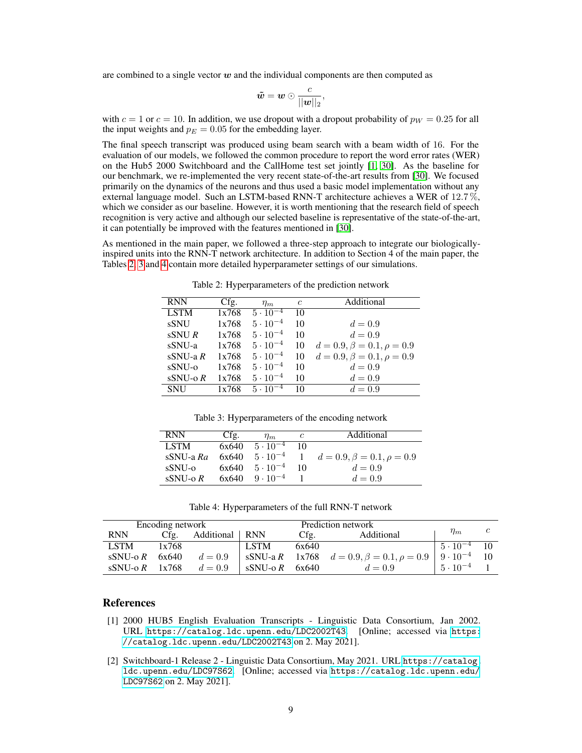are combined to a single vector  $w$  and the individual components are then computed as

$$
\tilde{\boldsymbol{w}} = \boldsymbol{w} \odot \frac{c}{||\boldsymbol{w}||_2},
$$

with  $c = 1$  or  $c = 10$ . In addition, we use dropout with a dropout probability of  $p_W = 0.25$  for all the input weights and  $p_E = 0.05$  for the embedding layer.

The final speech transcript was produced using beam search with a beam width of 16. For the evaluation of our models, we followed the common procedure to report the word error rates (WER) on the Hub5 2000 Switchboard and the CallHome test set jointly [\[1,](#page-8-1) [30\]](#page-10-10). As the baseline for our benchmark, we re-implemented the very recent state-of-the-art results from [\[30\]](#page-10-10). We focused primarily on the dynamics of the neurons and thus used a basic model implementation without any external language model. Such an LSTM-based RNN-T architecture achieves a WER of 12.7 %, which we consider as our baseline. However, it is worth mentioning that the research field of speech recognition is very active and although our selected baseline is representative of the state-of-the-art, it can potentially be improved with the features mentioned in [\[30\]](#page-10-10).

As mentioned in the main paper, we followed a three-step approach to integrate our biologicallyinspired units into the RNN-T network architecture. In addition to Section 4 of the main paper, the Tables [2,](#page-4-1) [3](#page-8-2) and [4](#page-8-3) contain more detailed hyperparameter settings of our simulations.

| <b>RNN</b>  | Cfg.  | $\eta_m$          | $\epsilon$ | Additional                         |
|-------------|-------|-------------------|------------|------------------------------------|
| <b>LSTM</b> | 1x768 | $5 \cdot 10^{-4}$ | 10         |                                    |
| sSNU        | 1x768 | $5 \cdot 10^{-4}$ | 10         | $d = 0.9$                          |
| sSNUR       | 1x768 | $5 \cdot 10^{-4}$ | 10         | $d = 0.9$                          |
| sSNU-a      | 1x768 | $5 \cdot 10^{-4}$ | 10         | $d = 0.9, \beta = 0.1, \rho = 0.9$ |
| $sSNU-a R$  | 1x768 | $5 \cdot 10^{-4}$ | 10         | $d = 0.9, \beta = 0.1, \rho = 0.9$ |
| $sSNU-O$    | 1x768 | $5 \cdot 10^{-4}$ | 10         | $d=0.9$                            |
| $sSNU-0 R$  | 1x768 | $5 \cdot 10^{-4}$ | 10         | $d = 0.9$                          |
| <b>SNU</b>  | 1x768 | $5 \cdot 10^{-4}$ | 10         | $d = 0.9$                          |

Table 2: Hyperparameters of the prediction network

<span id="page-8-2"></span>Table 3: Hyperparameters of the encoding network

| <b>RNN</b>       | Cfg.  | $\eta_{m}$                | C  | Additional                         |
|------------------|-------|---------------------------|----|------------------------------------|
| <b>LSTM</b>      |       | $6x640 - 5 \cdot 10^{-4}$ | 10 |                                    |
| sSNU-a Ra        | 6x640 | $5 \cdot 10^{-4}$         |    | $d = 0.9, \beta = 0.1, \rho = 0.9$ |
| sSNU-0           | 6x640 | $5 \cdot 10^{-4}$         | 10 | $d = 0.9$                          |
| sSNU- $\alpha$ R | 6x640 | $9 \cdot 10^{-4}$         |    | $d = 0.9$                          |

<span id="page-8-3"></span>Table 4: Hyperparameters of the full RNN-T network

|             | Encoding network |            |            |       |                                                   |                     |  |
|-------------|------------------|------------|------------|-------|---------------------------------------------------|---------------------|--|
| <b>RNN</b>  | Cfg.             | Additional | <b>RNN</b> | Cfg.  | Additional                                        | $\eta_m$            |  |
| <b>LSTM</b> | 1x768            |            | LSTM       | 6x640 |                                                   | $5 \cdot 10^{-4}$   |  |
| sSNU-o $R$  | 6x640            | $d=0.9$    |            |       | sSNU-a R 1x768 $d = 0.9, \beta = 0.1, \rho = 0.9$ | $ 9 \cdot 10^{-4} $ |  |
| sSNU-o $R$  | 1x768            | $d = 0.9$  | sSNU-o $R$ | 6x640 | $d = 0.9$                                         | $5 \cdot 10^{-4}$   |  |

# References

- <span id="page-8-1"></span>[1] 2000 HUB5 English Evaluation Transcripts - Linguistic Data Consortium, Jan 2002. URL <https://catalog.ldc.upenn.edu/LDC2002T43>. [Online; accessed via [https:](https://catalog.ldc.upenn.edu/LDC2002T43) [//catalog.ldc.upenn.edu/LDC2002T43](https://catalog.ldc.upenn.edu/LDC2002T43) on 2. May 2021].
- <span id="page-8-0"></span>[2] Switchboard-1 Release 2 - Linguistic Data Consortium, May 2021. URL [https://catalog.](https://catalog.ldc.upenn.edu/LDC97S62) [ldc.upenn.edu/LDC97S62](https://catalog.ldc.upenn.edu/LDC97S62). [Online; accessed via [https://catalog.ldc.upenn.edu/](https://catalog.ldc.upenn.edu/LDC97S62) [LDC97S62](https://catalog.ldc.upenn.edu/LDC97S62) on 2. May 2021].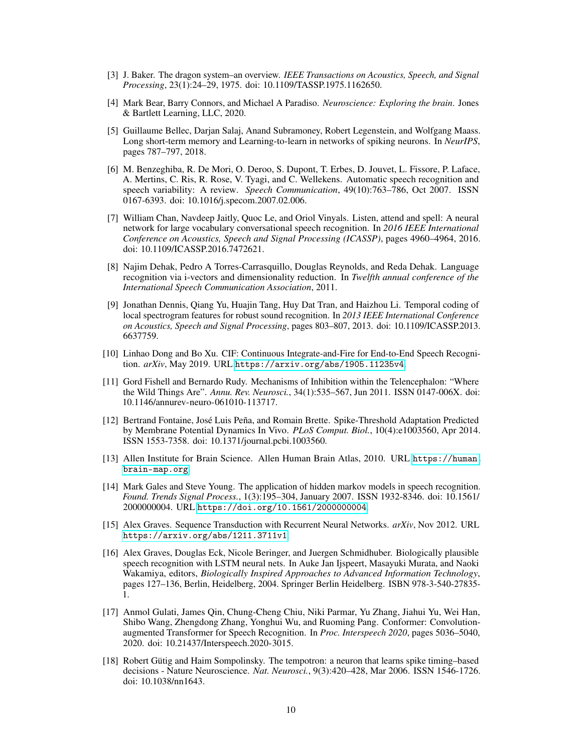- <span id="page-9-0"></span>[3] J. Baker. The dragon system–an overview. *IEEE Transactions on Acoustics, Speech, and Signal Processing*, 23(1):24–29, 1975. doi: 10.1109/TASSP.1975.1162650.
- <span id="page-9-10"></span>[4] Mark Bear, Barry Connors, and Michael A Paradiso. *Neuroscience: Exploring the brain*. Jones & Bartlett Learning, LLC, 2020.
- <span id="page-9-12"></span>[5] Guillaume Bellec, Darjan Salaj, Anand Subramoney, Robert Legenstein, and Wolfgang Maass. Long short-term memory and Learning-to-learn in networks of spiking neurons. In *NeurIPS*, pages 787–797, 2018.
- <span id="page-9-2"></span>[6] M. Benzeghiba, R. De Mori, O. Deroo, S. Dupont, T. Erbes, D. Jouvet, L. Fissore, P. Laface, A. Mertins, C. Ris, R. Rose, V. Tyagi, and C. Wellekens. Automatic speech recognition and speech variability: A review. *Speech Communication*, 49(10):763–786, Oct 2007. ISSN 0167-6393. doi: 10.1016/j.specom.2007.02.006.
- <span id="page-9-5"></span>[7] William Chan, Navdeep Jaitly, Quoc Le, and Oriol Vinyals. Listen, attend and spell: A neural network for large vocabulary conversational speech recognition. In *2016 IEEE International Conference on Acoustics, Speech and Signal Processing (ICASSP)*, pages 4960–4964, 2016. doi: 10.1109/ICASSP.2016.7472621.
- <span id="page-9-15"></span>[8] Najim Dehak, Pedro A Torres-Carrasquillo, Douglas Reynolds, and Reda Dehak. Language recognition via i-vectors and dimensionality reduction. In *Twelfth annual conference of the International Speech Communication Association*, 2011.
- <span id="page-9-7"></span>[9] Jonathan Dennis, Qiang Yu, Huajin Tang, Huy Dat Tran, and Haizhou Li. Temporal coding of local spectrogram features for robust sound recognition. In *2013 IEEE International Conference on Acoustics, Speech and Signal Processing*, pages 803–807, 2013. doi: 10.1109/ICASSP.2013. 6637759.
- <span id="page-9-8"></span>[10] Linhao Dong and Bo Xu. CIF: Continuous Integrate-and-Fire for End-to-End Speech Recognition. *arXiv*, May 2019. URL <https://arxiv.org/abs/1905.11235v4>.
- <span id="page-9-14"></span>[11] Gord Fishell and Bernardo Rudy. Mechanisms of Inhibition within the Telencephalon: "Where the Wild Things Are". *Annu. Rev. Neurosci.*, 34(1):535–567, Jun 2011. ISSN 0147-006X. doi: 10.1146/annurev-neuro-061010-113717.
- <span id="page-9-13"></span>[12] Bertrand Fontaine, José Luis Peña, and Romain Brette. Spike-Threshold Adaptation Predicted by Membrane Potential Dynamics In Vivo. *PLoS Comput. Biol.*, 10(4):e1003560, Apr 2014. ISSN 1553-7358. doi: 10.1371/journal.pcbi.1003560.
- <span id="page-9-11"></span>[13] Allen Institute for Brain Science. Allen Human Brain Atlas, 2010. URL [https://human.](https://human.brain-map.org) [brain-map.org](https://human.brain-map.org).
- <span id="page-9-1"></span>[14] Mark Gales and Steve Young. The application of hidden markov models in speech recognition. *Found. Trends Signal Process.*, 1(3):195–304, January 2007. ISSN 1932-8346. doi: 10.1561/ 2000000004. URL <https://doi.org/10.1561/2000000004>.
- <span id="page-9-4"></span>[15] Alex Graves. Sequence Transduction with Recurrent Neural Networks. *arXiv*, Nov 2012. URL <https://arxiv.org/abs/1211.3711v1>.
- <span id="page-9-3"></span>[16] Alex Graves, Douglas Eck, Nicole Beringer, and Juergen Schmidhuber. Biologically plausible speech recognition with LSTM neural nets. In Auke Jan Ijspeert, Masayuki Murata, and Naoki Wakamiya, editors, *Biologically Inspired Approaches to Advanced Information Technology*, pages 127–136, Berlin, Heidelberg, 2004. Springer Berlin Heidelberg. ISBN 978-3-540-27835- 1.
- <span id="page-9-6"></span>[17] Anmol Gulati, James Qin, Chung-Cheng Chiu, Niki Parmar, Yu Zhang, Jiahui Yu, Wei Han, Shibo Wang, Zhengdong Zhang, Yonghui Wu, and Ruoming Pang. Conformer: Convolutionaugmented Transformer for Speech Recognition. In *Proc. Interspeech 2020*, pages 5036–5040, 2020. doi: 10.21437/Interspeech.2020-3015.
- <span id="page-9-9"></span>[18] Robert Gütig and Haim Sompolinsky. The tempotron: a neuron that learns spike timing–based decisions - Nature Neuroscience. *Nat. Neurosci.*, 9(3):420–428, Mar 2006. ISSN 1546-1726. doi: 10.1038/nn1643.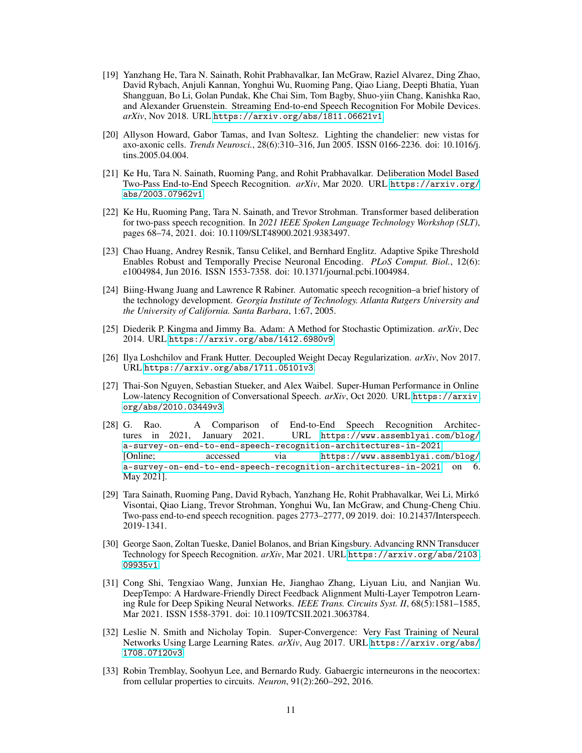- <span id="page-10-3"></span>[19] Yanzhang He, Tara N. Sainath, Rohit Prabhavalkar, Ian McGraw, Raziel Alvarez, Ding Zhao, David Rybach, Anjuli Kannan, Yonghui Wu, Ruoming Pang, Qiao Liang, Deepti Bhatia, Yuan Shangguan, Bo Li, Golan Pundak, Khe Chai Sim, Tom Bagby, Shuo-yiin Chang, Kanishka Rao, and Alexander Gruenstein. Streaming End-to-end Speech Recognition For Mobile Devices. *arXiv*, Nov 2018. URL <https://arxiv.org/abs/1811.06621v1>.
- <span id="page-10-11"></span>[20] Allyson Howard, Gabor Tamas, and Ivan Soltesz. Lighting the chandelier: new vistas for axo-axonic cells. *Trends Neurosci.*, 28(6):310–316, Jun 2005. ISSN 0166-2236. doi: 10.1016/j. tins.2005.04.004.
- <span id="page-10-5"></span>[21] Ke Hu, Tara N. Sainath, Ruoming Pang, and Rohit Prabhavalkar. Deliberation Model Based Two-Pass End-to-End Speech Recognition. *arXiv*, Mar 2020. URL [https://arxiv.org/](https://arxiv.org/abs/2003.07962v1) [abs/2003.07962v1](https://arxiv.org/abs/2003.07962v1).
- <span id="page-10-6"></span>[22] Ke Hu, Ruoming Pang, Tara N. Sainath, and Trevor Strohman. Transformer based deliberation for two-pass speech recognition. In *2021 IEEE Spoken Language Technology Workshop (SLT)*, pages 68–74, 2021. doi: 10.1109/SLT48900.2021.9383497.
- <span id="page-10-12"></span>[23] Chao Huang, Andrey Resnik, Tansu Celikel, and Bernhard Englitz. Adaptive Spike Threshold Enables Robust and Temporally Precise Neuronal Encoding. *PLoS Comput. Biol.*, 12(6): e1004984, Jun 2016. ISSN 1553-7358. doi: 10.1371/journal.pcbi.1004984.
- <span id="page-10-0"></span>[24] Biing-Hwang Juang and Lawrence R Rabiner. Automatic speech recognition–a brief history of the technology development. *Georgia Institute of Technology. Atlanta Rutgers University and the University of California. Santa Barbara*, 1:67, 2005.
- <span id="page-10-8"></span>[25] Diederik P. Kingma and Jimmy Ba. Adam: A Method for Stochastic Optimization. *arXiv*, Dec 2014. URL <https://arxiv.org/abs/1412.6980v9>.
- <span id="page-10-9"></span>[26] Ilya Loshchilov and Frank Hutter. Decoupled Weight Decay Regularization. *arXiv*, Nov 2017. URL <https://arxiv.org/abs/1711.05101v3>.
- <span id="page-10-1"></span>[27] Thai-Son Nguyen, Sebastian Stueker, and Alex Waibel. Super-Human Performance in Online Low-latency Recognition of Conversational Speech. *arXiv*, Oct 2020. URL [https://arxiv.](https://arxiv.org/abs/2010.03449v3) [org/abs/2010.03449v3](https://arxiv.org/abs/2010.03449v3).
- <span id="page-10-2"></span>[28] G. Rao. A Comparison of End-to-End Speech Recognition Architectures in 2021, January 2021. URL [https://www.assemblyai.com/blog/](https://www.assemblyai.com/blog/a-survey-on-end-to-end-speech-recognition-architectures-in-2021) [a-survey-on-end-to-end-speech-recognition-architectures-in-2021](https://www.assemblyai.com/blog/a-survey-on-end-to-end-speech-recognition-architectures-in-2021). [Online; accessed via [https://www.assemblyai.com/blog/](https://www.assemblyai.com/blog/a-survey-on-end-to-end-speech-recognition-architectures-in-2021) [a-survey-on-end-to-end-speech-recognition-architectures-in-2021](https://www.assemblyai.com/blog/a-survey-on-end-to-end-speech-recognition-architectures-in-2021) on 6. May 2021].
- <span id="page-10-4"></span>[29] Tara Sainath, Ruoming Pang, David Rybach, Yanzhang He, Rohit Prabhavalkar, Wei Li, Mirkó Visontai, Qiao Liang, Trevor Strohman, Yonghui Wu, Ian McGraw, and Chung-Cheng Chiu. Two-pass end-to-end speech recognition. pages 2773–2777, 09 2019. doi: 10.21437/Interspeech. 2019-1341.
- <span id="page-10-10"></span>[30] George Saon, Zoltan Tueske, Daniel Bolanos, and Brian Kingsbury. Advancing RNN Transducer Technology for Speech Recognition. *arXiv*, Mar 2021. URL [https://arxiv.org/abs/2103.](https://arxiv.org/abs/2103.09935v1) [09935v1](https://arxiv.org/abs/2103.09935v1).
- <span id="page-10-7"></span>[31] Cong Shi, Tengxiao Wang, Junxian He, Jianghao Zhang, Liyuan Liu, and Nanjian Wu. DeepTempo: A Hardware-Friendly Direct Feedback Alignment Multi-Layer Tempotron Learning Rule for Deep Spiking Neural Networks. *IEEE Trans. Circuits Syst. II*, 68(5):1581–1585, Mar 2021. ISSN 1558-3791. doi: 10.1109/TCSII.2021.3063784.
- <span id="page-10-14"></span>[32] Leslie N. Smith and Nicholay Topin. Super-Convergence: Very Fast Training of Neural Networks Using Large Learning Rates. *arXiv*, Aug 2017. URL [https://arxiv.org/abs/](https://arxiv.org/abs/1708.07120v3) [1708.07120v3](https://arxiv.org/abs/1708.07120v3).
- <span id="page-10-13"></span>[33] Robin Tremblay, Soohyun Lee, and Bernardo Rudy. Gabaergic interneurons in the neocortex: from cellular properties to circuits. *Neuron*, 91(2):260–292, 2016.